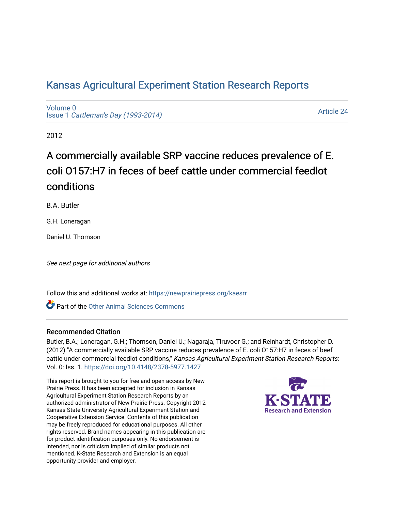## [Kansas Agricultural Experiment Station Research Reports](https://newprairiepress.org/kaesrr)

[Volume 0](https://newprairiepress.org/kaesrr/vol0) Issue 1 [Cattleman's Day \(1993-2014\)](https://newprairiepress.org/kaesrr/vol0/iss1) 

[Article 24](https://newprairiepress.org/kaesrr/vol0/iss1/24) 

2012

# A commercially available SRP vaccine reduces prevalence of E. coli O157:H7 in feces of beef cattle under commercial feedlot conditions

B.A. Butler

G.H. Loneragan

Daniel U. Thomson

See next page for additional authors

Follow this and additional works at: [https://newprairiepress.org/kaesrr](https://newprairiepress.org/kaesrr?utm_source=newprairiepress.org%2Fkaesrr%2Fvol0%2Fiss1%2F24&utm_medium=PDF&utm_campaign=PDFCoverPages) 

**C** Part of the [Other Animal Sciences Commons](http://network.bepress.com/hgg/discipline/82?utm_source=newprairiepress.org%2Fkaesrr%2Fvol0%2Fiss1%2F24&utm_medium=PDF&utm_campaign=PDFCoverPages)

### Recommended Citation

Butler, B.A.; Loneragan, G.H.; Thomson, Daniel U.; Nagaraja, Tiruvoor G.; and Reinhardt, Christopher D. (2012) "A commercially available SRP vaccine reduces prevalence of E. coli O157:H7 in feces of beef cattle under commercial feedlot conditions," Kansas Agricultural Experiment Station Research Reports: Vol. 0: Iss. 1. <https://doi.org/10.4148/2378-5977.1427>

This report is brought to you for free and open access by New Prairie Press. It has been accepted for inclusion in Kansas Agricultural Experiment Station Research Reports by an authorized administrator of New Prairie Press. Copyright 2012 Kansas State University Agricultural Experiment Station and Cooperative Extension Service. Contents of this publication may be freely reproduced for educational purposes. All other rights reserved. Brand names appearing in this publication are for product identification purposes only. No endorsement is intended, nor is criticism implied of similar products not mentioned. K-State Research and Extension is an equal opportunity provider and employer.

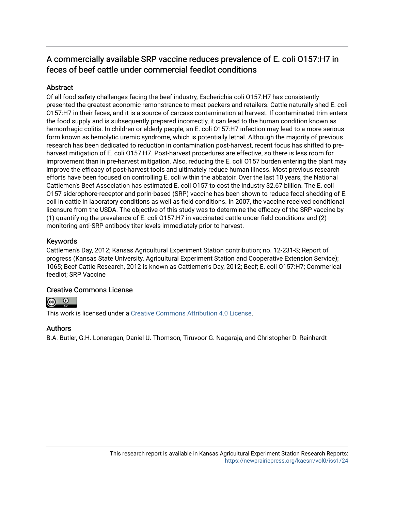## A commercially available SRP vaccine reduces prevalence of E. coli 0157:H7 in feces of beef cattle under commercial feedlot conditions

### **Abstract**

Of all food safety challenges facing the beef industry, Escherichia coli O157:H7 has consistently presented the greatest economic remonstrance to meat packers and retailers. Cattle naturally shed E. coli O157:H7 in their feces, and it is a source of carcass contamination at harvest. If contaminated trim enters the food supply and is subsequently prepared incorrectly, it can lead to the human condition known as hemorrhagic colitis. In children or elderly people, an E. coli O157:H7 infection may lead to a more serious form known as hemolytic uremic syndrome, which is potentially lethal. Although the majority of previous research has been dedicated to reduction in contamination post-harvest, recent focus has shifted to preharvest mitigation of E. coli O157:H7. Post-harvest procedures are effective, so there is less room for improvement than in pre-harvest mitigation. Also, reducing the E. coli O157 burden entering the plant may improve the efficacy of post-harvest tools and ultimately reduce human illness. Most previous research efforts have been focused on controlling E. coli within the abbatoir. Over the last 10 years, the National Cattlemen's Beef Association has estimated E. coli O157 to cost the industry \$2.67 billion. The E. coli O157 siderophore-receptor and porin-based (SRP) vaccine has been shown to reduce fecal shedding of E. coli in cattle in laboratory conditions as well as field conditions. In 2007, the vaccine received conditional licensure from the USDA. The objective of this study was to determine the efficacy of the SRP vaccine by (1) quantifying the prevalence of E. coli O157:H7 in vaccinated cattle under field conditions and (2) monitoring anti-SRP antibody titer levels immediately prior to harvest.

### Keywords

Cattlemen's Day, 2012; Kansas Agricultural Experiment Station contribution; no. 12-231-S; Report of progress (Kansas State University. Agricultural Experiment Station and Cooperative Extension Service); 1065; Beef Cattle Research, 2012 is known as Cattlemen's Day, 2012; Beef; E. coli O157:H7; Commerical feedlot; SRP Vaccine

### Creative Commons License



This work is licensed under a [Creative Commons Attribution 4.0 License](https://creativecommons.org/licenses/by/4.0/).

### Authors

B.A. Butler, G.H. Loneragan, Daniel U. Thomson, Tiruvoor G. Nagaraja, and Christopher D. Reinhardt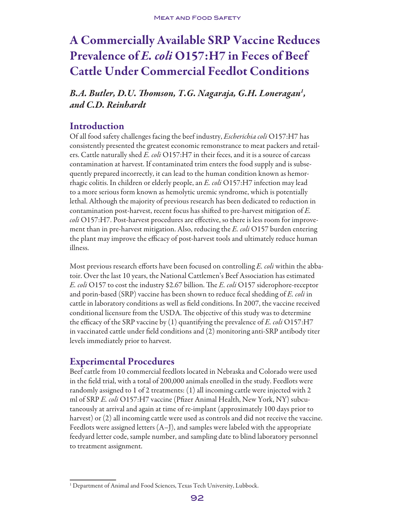# A Commercially Available SRP Vaccine Reduces Prevalence of *E. coli* O157:H7 in Feces of Beef Cattle Under Commercial Feedlot Conditions

*B.A. Butler, D.U. Thomson, T.G. Nagaraja, G.H. Loneragan1 , and C.D. Reinhardt*

## Introduction

Of all food safety challenges facing the beef industry, *Escherichia coli* O157:H7 has consistently presented the greatest economic remonstrance to meat packers and retailers. Cattle naturally shed *E. coli* O157:H7 in their feces, and it is a source of carcass contamination at harvest. If contaminated trim enters the food supply and is subsequently prepared incorrectly, it can lead to the human condition known as hemorrhagic colitis. In children or elderly people, an *E. coli* O157:H7 infection may lead to a more serious form known as hemolytic uremic syndrome, which is potentially lethal. Although the majority of previous research has been dedicated to reduction in contamination post-harvest, recent focus has shifted to pre-harvest mitigation of *E. coli* O157:H7. Post-harvest procedures are effective, so there is less room for improvement than in pre-harvest mitigation. Also, reducing the *E. coli* O157 burden entering the plant may improve the efficacy of post-harvest tools and ultimately reduce human illness.

Most previous research efforts have been focused on controlling *E. coli* within the abbatoir. Over the last 10 years, the National Cattlemen's Beef Association has estimated *E. coli* O157 to cost the industry \$2.67 billion. The *E. coli* O157 siderophore-receptor and porin-based (SRP) vaccine has been shown to reduce fecal shedding of *E. coli* in cattle in laboratory conditions as well as field conditions. In 2007, the vaccine received conditional licensure from the USDA. The objective of this study was to determine the efficacy of the SRP vaccine by (1) quantifying the prevalence of *E. coli* O157:H7 in vaccinated cattle under field conditions and (2) monitoring anti-SRP antibody titer levels immediately prior to harvest.

## Experimental Procedures

Beef cattle from 10 commercial feedlots located in Nebraska and Colorado were used in the field trial, with a total of 200,000 animals enrolled in the study. Feedlots were randomly assigned to 1 of 2 treatments: (1) all incoming cattle were injected with 2 ml of SRP *E. coli* O157:H7 vaccine (Pfizer Animal Health, New York, NY) subcutaneously at arrival and again at time of re-implant (approximately 100 days prior to harvest) or (2) all incoming cattle were used as controls and did not receive the vaccine. Feedlots were assigned letters (A–J), and samples were labeled with the appropriate feedyard letter code, sample number, and sampling date to blind laboratory personnel to treatment assignment.

<sup>&</sup>lt;sup>1</sup> Department of Animal and Food Sciences, Texas Tech University, Lubbock.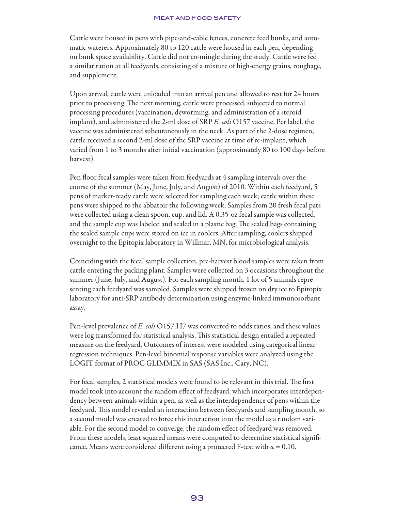Cattle were housed in pens with pipe-and-cable fences, concrete feed bunks, and automatic waterers. Approximately 80 to 120 cattle were housed in each pen, depending on bunk space availability. Cattle did not co-mingle during the study. Cattle were fed a similar ration at all feedyards, consisting of a mixture of high-energy grains, roughage, and supplement.

Upon arrival, cattle were unloaded into an arrival pen and allowed to rest for 24 hours prior to processing. The next morning, cattle were processed, subjected to normal processing procedures (vaccination, deworming, and administration of a steroid implant), and administered the 2-ml dose of SRP *E. coli* O157 vaccine. Per label, the vaccine was administered subcutaneously in the neck. As part of the 2-dose regimen, cattle received a second 2-ml dose of the SRP vaccine at time of re-implant, which varied from 1 to 3 months after initial vaccination (approximately 80 to 100 days before harvest).

Pen floor fecal samples were taken from feedyards at 4 sampling intervals over the course of the summer (May, June, July, and August) of 2010. Within each feedyard, 5 pens of market-ready cattle were selected for sampling each week; cattle within these pens were shipped to the abbatoir the following week. Samples from 20 fresh fecal pats were collected using a clean spoon, cup, and lid. A 0.35-oz fecal sample was collected, and the sample cup was labeled and sealed in a plastic bag. The sealed bags containing the sealed sample cups were stored on ice in coolers. After sampling, coolers shipped overnight to the Epitopix laboratory in Willmar, MN, for microbiological analysis.

Coinciding with the fecal sample collection, pre-harvest blood samples were taken from cattle entering the packing plant. Samples were collected on 3 occasions throughout the summer (June, July, and August). For each sampling month, 1 lot of 5 animals representing each feedyard was sampled. Samples were shipped frozen on dry ice to Epitopix laboratory for anti-SRP antibody determination using enzyme-linked immunosorbant assay.

Pen-level prevalence of *E. coli* O157:H7 was converted to odds ratios, and these values were log transformed for statistical analysis. This statistical design entailed a repeated measure on the feedyard. Outcomes of interest were modeled using categorical linear regression techniques. Pen-level binomial response variables were analyzed using the LOGIT format of PROC GLIMMIX in SAS (SAS Inc., Cary, NC).

For fecal samples, 2 statistical models were found to be relevant in this trial. The first model took into account the random effect of feedyard, which incorporates interdependency between animals within a pen, as well as the interdependence of pens within the feedyard. This model revealed an interaction between feedyards and sampling month, so a second model was created to force this interaction into the model as a random variable. For the second model to converge, the random effect of feedyard was removed. From these models, least squared means were computed to determine statistical significance. Means were considered different using a protected F-test with  $\alpha = 0.10$ .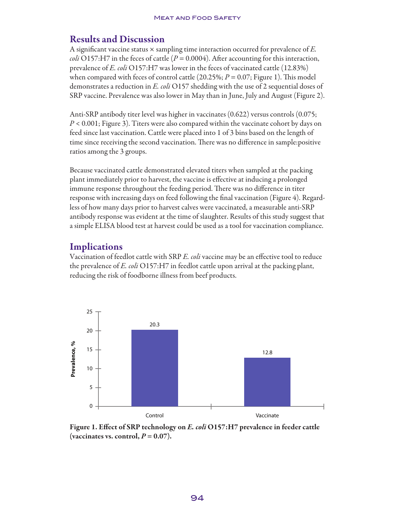## Results and Discussion

A significant vaccine status × sampling time interaction occurred for prevalence of *E. coli* O157:H7 in the feces of cattle  $(P = 0.0004)$ . After accounting for this interaction, prevalence of *E. coli* O157:H7 was lower in the feces of vaccinated cattle (12.83%) when compared with feces of control cattle  $(20.25\%; P = 0.07; \text{Figure 1}).$  This model demonstrates a reduction in *E. coli* O157 shedding with the use of 2 sequential doses of SRP vaccine. Prevalence was also lower in May than in June, July and August (Figure 2).

Anti-SRP antibody titer level was higher in vaccinates (0.622) versus controls (0.075; *P* < 0.001; Figure 3). Titers were also compared within the vaccinate cohort by days on feed since last vaccination. Cattle were placed into 1 of 3 bins based on the length of time since receiving the second vaccination. There was no difference in sample:positive ratios among the 3 groups.

Because vaccinated cattle demonstrated elevated titers when sampled at the packing plant immediately prior to harvest, the vaccine is effective at inducing a prolonged immune response throughout the feeding period. There was no difference in titer response with increasing days on feed following the final vaccination (Figure 4). Regardless of how many days prior to harvest calves were vaccinated, a measurable anti-SRP antibody response was evident at the time of slaughter. Results of this study suggest that a simple ELISA blood test at harvest could be used as a tool for vaccination compliance.

## **Implications**

Vaccination of feedlot cattle with SRP *E. coli* vaccine may be an effective tool to reduce the prevalence of *E. coli* O157:H7 in feedlot cattle upon arrival at the packing plant, reducing the risk of foodborne illness from beef products.



Figure 1. Effect of SRP technology on *E. coli* O157:H7 prevalence in feeder cattle (vaccinates vs. control,  $P = 0.07$ ).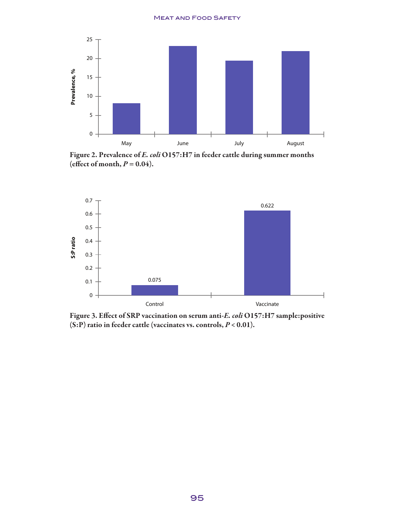#### Meat and Food Safety



Figure 2. Prevalence of *E. coli* O157:H7 in feeder cattle during summer months (effect of month,  $P = 0.04$ ).



Figure 3. Effect of SRP vaccination on serum anti-*E. coli* O157:H7 sample:positive (S:P) ratio in feeder cattle (vaccinates vs. controls, *P* < 0.01).